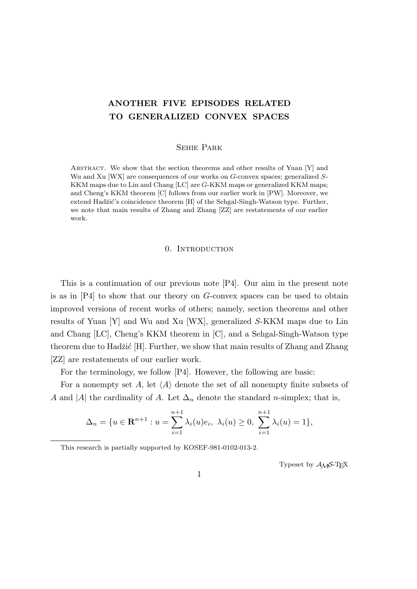# **ANOTHER FIVE EPISODES RELATED TO GENERALIZED CONVEX SPACES**

## Sehie Park

ABSTRACT. We show that the section theorems and other results of Yuan  $[Y]$  and Wu and Xu [WX] are consequences of our works on *G*-convex spaces; generalized *S*-KKM maps due to Lin and Chang [LC] are *G*-KKM maps or generalized KKM maps; and Cheng's KKM theorem [C] follows from our earlier work in [PW]. Moreover, we extend Hadžić's coincidence theorem [H] of the Sehgal-Singh-Watson type. Further, we note that main results of Zhang and Zhang [ZZ] are restatements of our earlier work.

## 0. INTRODUCTION

This is a continuation of our previous note [P4]. Our aim in the present note is as in [P4] to show that our theory on *G*-convex spaces can be used to obtain improved versions of recent works of others; namely, section theorems and other results of Yuan [Y] and Wu and Xu [WX], generalized *S*-KKM maps due to Lin and Chang [LC], Cheng's KKM theorem in [C], and a Sehgal-Singh-Watson type theorem due to Hadžić [H]. Further, we show that main results of Zhang and Zhang [ZZ] are restatements of our earlier work.

For the terminology, we follow [P4]. However, the following are basic:

For a nonempty set  $A$ , let  $\langle A \rangle$  denote the set of all nonempty finite subsets of *A* and |*A*| the cardinality of *A*. Let  $\Delta_n$  denote the standard *n*-simplex; that is,

$$
\Delta_n = \{ u \in \mathbf{R}^{n+1} : u = \sum_{i=1}^{n+1} \lambda_i(u) e_i, \ \lambda_i(u) \ge 0, \ \sum_{i=1}^{n+1} \lambda_i(u) = 1 \},
$$

This research is partially supported by KOSEF-981-0102-013-2.

Typeset by  $\mathcal{A}_{\mathcal{M}}\mathcal{S}\text{-}\mathrm{Tr}X$ 

1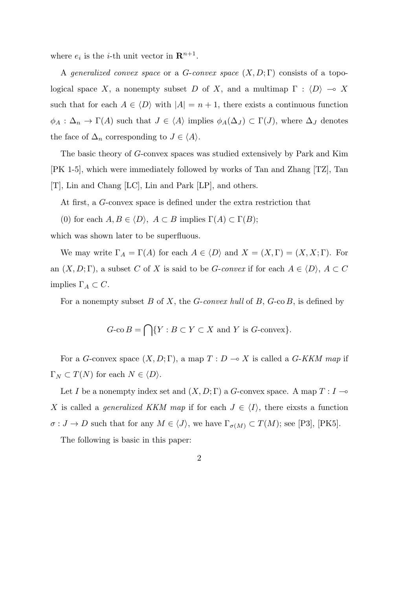where  $e_i$  is the *i*-th unit vector in  $\mathbf{R}^{n+1}$ .

A *generalized convex space* or a *G*-*convex space* (*X, D*; Γ) consists of a topological space *X*, a nonempty subset *D* of *X*, and a multimap  $\Gamma : \langle D \rangle \to X$ such that for each  $A \in \langle D \rangle$  with  $|A| = n + 1$ , there exists a continuous function  $\phi_A : \Delta_n \to \Gamma(A)$  such that  $J \in \langle A \rangle$  implies  $\phi_A(\Delta_J) \subset \Gamma(J)$ , where  $\Delta_J$  denotes the face of  $\Delta_n$  corresponding to  $J \in \langle A \rangle$ .

The basic theory of *G*-convex spaces was studied extensively by Park and Kim [PK 1-5], which were immediately followed by works of Tan and Zhang [TZ], Tan [T], Lin and Chang [LC], Lin and Park [LP], and others.

At first, a *G*-convex space is defined under the extra restriction that

(0) for each  $A, B \in \langle D \rangle$ ,  $A \subset B$  implies  $\Gamma(A) \subset \Gamma(B)$ ;

which was shown later to be superfluous.

We may write  $\Gamma_A = \Gamma(A)$  for each  $A \in \langle D \rangle$  and  $X = (X, \Gamma) = (X, X; \Gamma)$ . For an  $(X, D; \Gamma)$ , a subset *C* of *X* is said to be *G*-*convex* if for each  $A \in \langle D \rangle$ ,  $A \subset C$ implies Γ*<sup>A</sup> ⊂ C*.

For a nonempty subset *B* of *X*, the *G*-*convex hull* of *B*, *G*-co *B*, is defined by

$$
G\text{-co }B = \bigcap \{ Y : B \subset Y \subset X \text{ and } Y \text{ is } G\text{-convex} \}.
$$

For a *G*-convex space  $(X, D; \Gamma)$ , a map  $T: D \to X$  is called a *G-KKM map* if  $\Gamma_N \subset T(N)$  for each  $N \in \langle D \rangle$ .

Let *I* be a nonempty index set and  $(X, D; \Gamma)$  a *G*-convex space. A map  $T: I \rightarrow$ *X* is called a *generalized KKM map* if for each  $J \in \langle I \rangle$ , there eixsts a function  $\sigma: J \to D$  such that for any  $M \in \langle J \rangle$ , we have  $\Gamma_{\sigma(M)} \subset T(M)$ ; see [P3], [PK5].

The following is basic in this paper: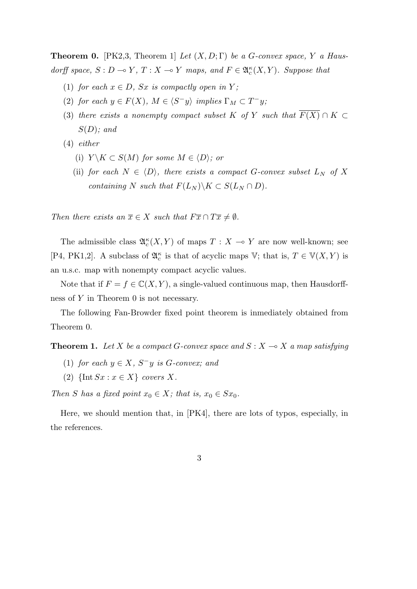**Theorem 0.** [PK2,3, Theorem 1] *Let*  $(X, D; \Gamma)$  *be a G-convex space,*  $Y$  *a Hausdorff space,*  $S: D \to Y$ ,  $T: X \to Y$  *maps, and*  $F \in \mathfrak{A}_{c}^{\kappa}(X, Y)$ *. Suppose that* 

- (1) *for each*  $x \in D$ *, Sx is compactly open in*  $Y$ *;*
- (2) *for each*  $y \in F(X)$ *,*  $M \in \langle S^-y \rangle$  *implies*  $\Gamma_M \subset T^-y$ *;*
- (3) *there exists a nonempty compact subset*  $K$  *of*  $Y$  *such that*  $\overline{F(X)} \cap K \subset$ *S*(*D*)*; and*
- (4) *either*
	- (i)  $Y \setminus K \subset S(M)$  *for some*  $M \in \langle D \rangle$ *; or*
	- (ii) *for each*  $N \in \langle D \rangle$ *, there exists a compact G*-convex subset  $L_N$  *of X containing N such that*  $F(L_N) \ X \subset S(L_N \cap D)$ *.*

*Then there exists an*  $\overline{x} \in X$  *such that*  $F\overline{x} \cap T\overline{x} \neq \emptyset$ *.* 

The admissible class  $\mathfrak{A}_{c}^{\kappa}(X, Y)$  of maps  $T : X \multimap Y$  are now well-known; see [P4, PK1,2]. A subclass of  $\mathfrak{A}_{c}^{\kappa}$  is that of acyclic maps V; that is,  $T \in \mathbb{V}(X, Y)$  is an u.s.c. map with nonempty compact acyclic values.

Note that if  $F = f \in \mathbb{C}(X, Y)$ , a single-valued continuous map, then Hausdorffness of *Y* in Theorem 0 is not necessary.

The following Fan-Browder fixed point theorem is inmediately obtained from Theorem 0.

**Theorem 1.** Let *X* be a compact *G*-convex space and  $S: X \to X$  a map satisfying

- $(1)$  *for each*  $y \in X$ *,*  $S^-y$  *is*  $G$ *-convex; and*
- $(2)$  {Int  $Sx : x \in X$ } *covers X.*

*Then S has a fixed point*  $x_0 \in X$ *; that is,*  $x_0 \in Sx_0$ *.* 

Here, we should mention that, in [PK4], there are lots of typos, especially, in the references.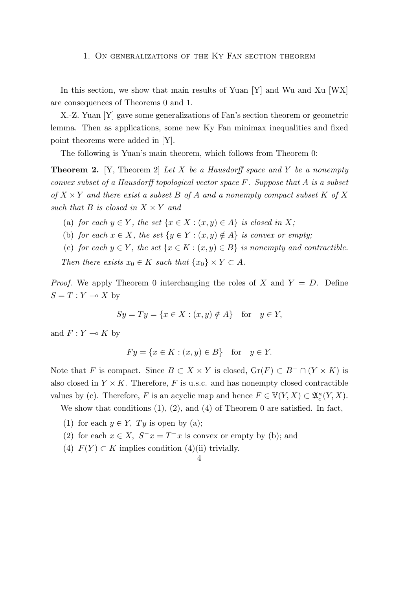### 1. On generalizations of the Ky Fan section theorem

In this section, we show that main results of Yuan [Y] and Wu and Xu [WX] are consequences of Theorems 0 and 1.

X.-Z. Yuan [Y] gave some generalizations of Fan's section theorem or geometric lemma. Then as applications, some new Ky Fan minimax inequalities and fixed point theorems were added in [Y].

The following is Yuan's main theorem, which follows from Theorem 0:

**Theorem 2.** [Y, Theorem 2] *Let X be a Hausdorff space and Y be a nonempty convex subset of a Hausdorff topological vector space F. Suppose that A is a subset*  $\sigma f$  *X*  $\times$  *Y and there exist a subset B of A and a nonempty compact subset K of X such that*  $B$  *is closed in*  $X \times Y$  *and* 

(a) *for each*  $y \in Y$ *, the set*  $\{x \in X : (x, y) \in A\}$  *is closed in* X;

- (b) *for each*  $x \in X$ *, the set*  $\{y \in Y : (x, y) \notin A\}$  *is convex or empty;*
- (c) for each  $y \in Y$ , the set  $\{x \in K : (x, y) \in B\}$  is nonempty and contractible.

*Then there exists*  $x_0 \in K$  *such that*  $\{x_0\} \times Y \subset A$ *.* 

*Proof.* We apply Theorem 0 interchanging the roles of *X* and  $Y = D$ . Define  $S = T : Y \multimap X$  by

$$
Sy = Ty = \{x \in X : (x, y) \notin A\} \text{ for } y \in Y,
$$

and  $F: Y \multimap K$  by

$$
Fy = \{x \in K : (x, y) \in B\} \quad \text{for} \quad y \in Y.
$$

Note that *F* is compact. Since  $B \subset X \times Y$  is closed,  $\text{Gr}(F) \subset B^- \cap (Y \times K)$  is also closed in  $Y \times K$ . Therefore, *F* is u.s.c. and has nonempty closed contractible values by (c). Therefore, *F* is an acyclic map and hence  $F \in V(Y, X) \subset \mathfrak{A}_c^{\kappa}(Y, X)$ .

We show that conditions  $(1)$ ,  $(2)$ , and  $(4)$  of Theorem 0 are satisfied. In fact,

- (1) for each  $y \in Y$ ,  $Ty$  is open by (a);
- (2) for each  $x \in X$ ,  $S^{-}x = T^{-}x$  is convex or empty by (b); and
- (4)  $F(Y) \subset K$  implies condition (4)(ii) trivially.

### $\Delta$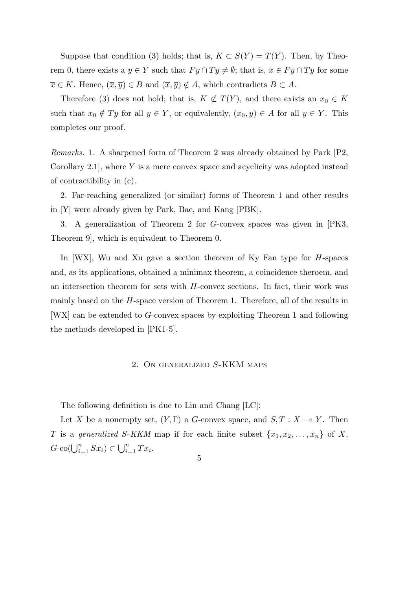Suppose that condition (3) holds; that is,  $K \subset S(Y) = T(Y)$ . Then, by Theorem 0, there exists a  $\overline{y} \in Y$  such that  $F\overline{y} \cap T\overline{y} \neq \emptyset$ ; that is,  $\overline{x} \in F\overline{y} \cap T\overline{y}$  for some  $\overline{x} \in K$ . Hence,  $(\overline{x}, \overline{y}) \in B$  and  $(\overline{x}, \overline{y}) \notin A$ , which contradicts  $B \subset A$ .

Therefore (3) does not hold; that is,  $K \not\subset T(Y)$ , and there exists an  $x_0 \in K$ such that  $x_0 \notin Ty$  for all  $y \in Y$ , or equivalently,  $(x_0, y) \in A$  for all  $y \in Y$ . This completes our proof.

*Remarks.* 1. A sharpened form of Theorem 2 was already obtained by Park [P2, Corollary 2.1], where *Y* is a mere convex space and acyclicity was adopted instead of contractibility in (c).

2. Far-reaching generalized (or similar) forms of Theorem 1 and other results in [Y] were already given by Park, Bae, and Kang [PBK].

3. A generalization of Theorem 2 for *G*-convex spaces was given in [PK3, Theorem 9], which is equivalent to Theorem 0.

In [WX], Wu and Xu gave a section theorem of Ky Fan type for *H*-spaces and, as its applications, obtained a minimax theorem, a coincidence theroem, and an intersection theorem for sets with *H*-convex sections. In fact, their work was mainly based on the *H*-space version of Theorem 1. Therefore, all of the results in [WX] can be extended to *G*-convex spaces by exploiting Theorem 1 and following the methods developed in [PK1-5].

## 2. On generalized *S*-KKM maps

The following definition is due to Lin and Chang [LC]:

Let *X* be a nonempty set,  $(Y, \Gamma)$  a *G*-convex space, and  $S, T : X \rightarrow Y$ . Then *T* is a *generalized S*-*KKM* map if for each finite subset  $\{x_1, x_2, \ldots, x_n\}$  of *X*,  $G$ -co( $\bigcup_{i=1}^{n} Sx_i$ )  $\subset \bigcup_{i=1}^{n} Tx_i$ .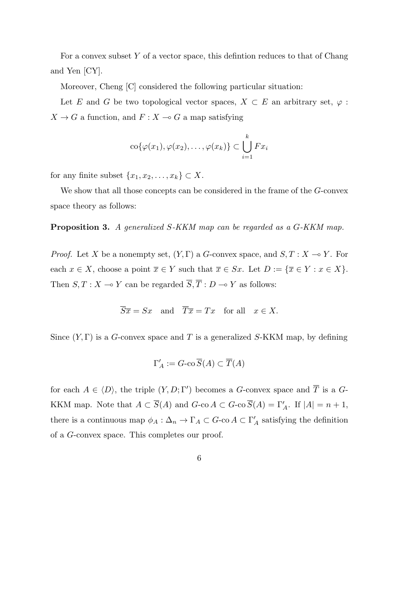For a convex subset *Y* of a vector space, this defintion reduces to that of Chang and Yen [CY].

Moreover, Cheng [C] considered the following particular situation:

Let *E* and *G* be two topological vector spaces,  $X \subset E$  an arbitrary set,  $\varphi$ :  $X \to G$  a function, and  $F: X \to G$  a map satisfying

$$
co{\varphi(x_1),\varphi(x_2),\ldots,\varphi(x_k)} \subset \bigcup_{i=1}^k Fx_i
$$

for any finite subset  $\{x_1, x_2, \ldots, x_k\} \subset X$ .

We show that all those concepts can be considered in the frame of the *G*-convex space theory as follows:

**Proposition 3.** *A generalized S-KKM map can be regarded as a G-KKM map.*

*Proof.* Let *X* be a nonempty set,  $(Y, \Gamma)$  a *G*-convex space, and  $S, T : X \rightarrow Y$ . For each  $x \in X$ , choose a point  $\overline{x} \in Y$  such that  $\overline{x} \in Sx$ . Let  $D := {\overline{x} \in Y : x \in X}$ . Then  $S, T : X \longrightarrow Y$  can be regarded  $\overline{S}, \overline{T} : D \longrightarrow Y$  as follows:

$$
\overline{S}\overline{x} = Sx
$$
 and  $\overline{T}\overline{x} = Tx$  for all  $x \in X$ .

Since (*Y,* Γ) is a *G*-convex space and *T* is a generalized *S*-KKM map, by defining

$$
\Gamma'_A:=G\text{-co }\overline{S}(A)\subset \overline{T}(A)
$$

for each  $A \in \langle D \rangle$ , the triple  $(Y, D; \Gamma')$  becomes a *G*-convex space and *T* is a *G*-KKM map. Note that  $A \subset S(A)$  and  $G$ -co  $A \subset G$ -co  $S(A) = \Gamma'_{A}$ . If  $|A| = n + 1$ , there is a continuous map  $\phi_A : \Delta_n \to \Gamma_A \subset G$ -co  $A \subset \Gamma'_A$  satisfying the definition of a *G*-convex space. This completes our proof.

6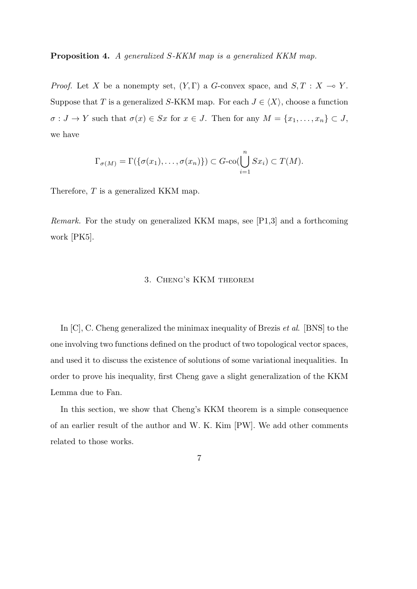**Proposition 4.** *A generalized S-KKM map is a generalized KKM map.*

*Proof.* Let *X* be a nonempty set,  $(Y, \Gamma)$  a *G*-convex space, and  $S, T : X \to Y$ . Suppose that *T* is a generalized *S*-KKM map. For each  $J \in \langle X \rangle$ , choose a function  $\sigma: J \to Y$  such that  $\sigma(x) \in Sx$  for  $x \in J$ . Then for any  $M = \{x_1, \ldots, x_n\} \subset J$ , we have

$$
\Gamma_{\sigma(M)} = \Gamma(\{\sigma(x_1), \ldots, \sigma(x_n)\}) \subset G\text{-}\mathrm{co}(\bigcup_{i=1}^n Sx_i) \subset T(M).
$$

Therefore, *T* is a generalized KKM map.

*Remark.* For the study on generalized KKM maps, see [P1,3] and a forthcoming work [PK5].

# 3. Cheng's KKM theorem

In [C], C. Cheng generalized the minimax inequality of Brezis *et al*. [BNS] to the one involving two functions defined on the product of two topological vector spaces, and used it to discuss the existence of solutions of some variational inequalities. In order to prove his inequality, first Cheng gave a slight generalization of the KKM Lemma due to Fan.

In this section, we show that Cheng's KKM theorem is a simple consequence of an earlier result of the author and W. K. Kim [PW]. We add other comments related to those works.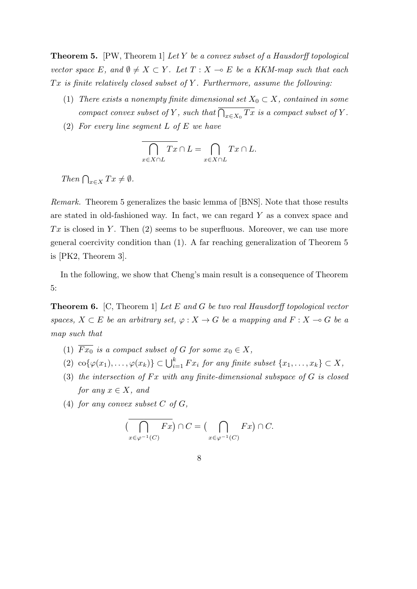**Theorem 5.** [PW, Theorem 1] *Let Y be a convex subset of a Hausdorff topological vector space*  $E$ *, and*  $\emptyset \neq X \subset Y$ *. Let*  $T : X \to E$  *be a KKM-map such that each T x is finite relatively closed subset of Y . Furthermore, assume the following:*

- (1) *There exists a nonempty finite dimensional set*  $X_0 \subset X$ *, contained in some compact convex subset of Y*, such that  $\overline{\bigcap_{x \in X_0} Tx}$  *is a compact subset of Y*.
- (2) *For every line segment L of E we have*

$$
\bigcap_{x \in X \cap L} Tx \cap L = \bigcap_{x \in X \cap L} Tx \cap L.
$$

*Then*  $\bigcap_{x \in X} Tx \neq \emptyset$ *.* 

*Remark.* Theorem 5 generalizes the basic lemma of [BNS]. Note that those results are stated in old-fashioned way. In fact, we can regard *Y* as a convex space and *T x* is closed in *Y* . Then (2) seems to be superfluous. Moreover, we can use more general coercivity condition than (1). A far reaching generalization of Theorem 5 is [PK2, Theorem 3].

In the following, we show that Cheng's main result is a consequence of Theorem 5:

**Theorem 6.** [C, Theorem 1] *Let E and G be two real Hausdorff topological vector spaces,*  $X \subset E$  *be an arbitrary set,*  $\varphi : X \to G$  *be a mapping and*  $F : X \to G$  *be a map such that*

- (1)  $\overline{Fx_0}$  *is a compact subset of G for some*  $x_0 \in X$ ,
- $(2)$  co $\{\varphi(x_1), \ldots, \varphi(x_k)\} \subset \bigcup_{i=1}^k Fx_i$  for any finite subset  $\{x_1, \ldots, x_k\} \subset X$ ,
- (3) *the intersection of F x with any finite-dimensional subspace of G is closed for any*  $x \in X$ *, and*
- (4) *for any convex subset*  $C$  *of*  $G$ *,*

$$
(\overline{\bigcap_{x \in \varphi^{-1}(C)} Fx}) \cap C = (\bigcap_{x \in \varphi^{-1}(C)} Fx) \cap C.
$$

8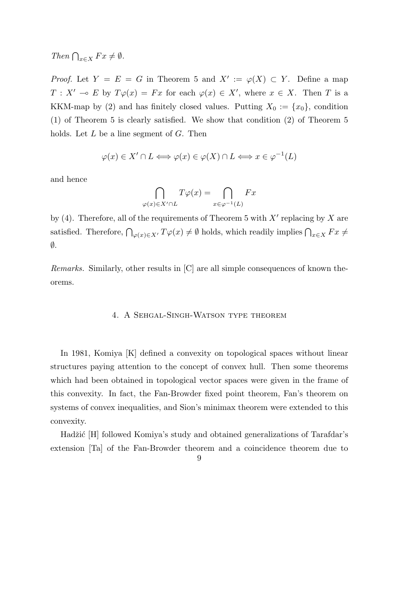*Then*  $\bigcap_{x \in X} F x \neq \emptyset$ *.* 

*Proof.* Let  $Y = E = G$  in Theorem 5 and  $X' := \varphi(X) \subset Y$ . Define a map  $T: X' \to E$  by  $T\varphi(x) = Fx$  for each  $\varphi(x) \in X'$ , where  $x \in X$ . Then *T* is a KKM-map by (2) and has finitely closed values. Putting  $X_0 := \{x_0\}$ , condition (1) of Theorem 5 is clearly satisfied. We show that condition (2) of Theorem 5 holds. Let *L* be a line segment of *G*. Then

$$
\varphi(x) \in X' \cap L \Longleftrightarrow \varphi(x) \in \varphi(X) \cap L \Longleftrightarrow x \in \varphi^{-1}(L)
$$

and hence

$$
\bigcap_{\varphi(x)\in X'\cap L}T\varphi(x)=\bigcap_{x\in\varphi^{-1}(L)}Fx
$$

by (4). Therefore, all of the requirements of Theorem 5 with *X′* replacing by *X* are satisfied. Therefore,  $\bigcap_{\varphi(x)\in X'} T\varphi(x) \neq \emptyset$  holds, which readily implies  $\bigcap_{x\in X} F x \neq$ *∅*.

*Remarks.* Similarly, other results in [C] are all simple consequences of known theorems.

## 4. A Sehgal-Singh-Watson type theorem

In 1981, Komiya [K] defined a convexity on topological spaces without linear structures paying attention to the concept of convex hull. Then some theorems which had been obtained in topological vector spaces were given in the frame of this convexity. In fact, the Fan-Browder fixed point theorem, Fan's theorem on systems of convex inequalities, and Sion's minimax theorem were extended to this convexity.

Hadžić [H] followed Komiya's study and obtained generalizations of Tarafdar's extension [Ta] of the Fan-Browder theorem and a coincidence theorem due to

<sup>9</sup>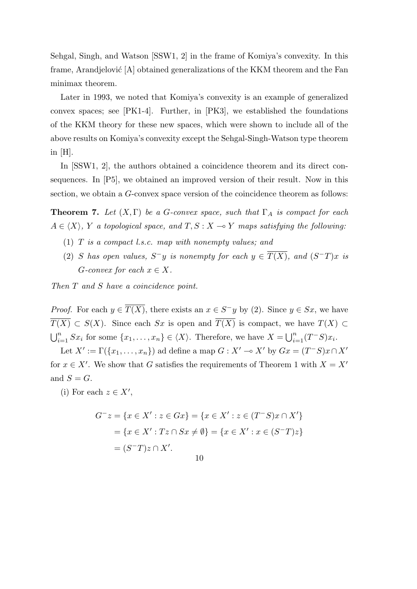Sehgal, Singh, and Watson [SSW1, 2] in the frame of Komiya's convexity. In this frame, Arandjelović  $[A]$  obtained generalizations of the KKM theorem and the Fan minimax theorem.

Later in 1993, we noted that Komiya's convexity is an example of generalized convex spaces; see [PK1-4]. Further, in [PK3], we established the foundations of the KKM theory for these new spaces, which were shown to include all of the above results on Komiya's convexity except the Sehgal-Singh-Watson type theorem in  $|H|$ .

In  $[SSW1, 2]$ , the authors obtained a coincidence theorem and its direct consequences. In [P5], we obtained an improved version of their result. Now in this section, we obtain a *G*-convex space version of the coincidence theorem as follows:

**Theorem 7.** *Let*  $(X, \Gamma)$  *be a G-convex space, such that*  $\Gamma_A$  *is compact for each*  $A \in \langle X \rangle$ , *Y a topological space, and*  $T, S: X \to Y$  *maps satisfying the following:* 

- (1) *T is a compact l.s.c. map with nonempty values; and*
- (2) *S* has open values,  $S^-y$  is nonempty for each  $y \in T(X)$ , and  $(S^-T)x$  is  $G$ *-convex for each*  $x \in X$ *.*

*Then T and S have a coincidence point.*

*Proof.* For each  $y \in T(X)$ , there exists an  $x \in S^-y$  by (2). Since  $y \in Sx$ , we have *T*(*X*) ⊂ *S*(*X*). Since each *Sx* is open and  $\overline{T(X)}$  is compact, we have  $T(X)$  ⊂  $\bigcup_{i=1}^{n} Sx_i$  for some  $\{x_1, \ldots, x_n\} \in \langle X \rangle$ . Therefore, we have  $X = \bigcup_{i=1}^{n} (T^-S)x_i$ .

Let  $X' := \Gamma(\{x_1, \ldots, x_n\})$  ad define a map  $G : X' \to X'$  by  $Gx = (T^-S)x \cap X'$ for  $x \in X'$ . We show that *G* satisfies the requirements of Theorem 1 with  $X = X'$ and  $S = G$ .

(i) For each  $z \in X'$ ,

$$
G^{-}z = \{x \in X' : z \in Gx\} = \{x \in X' : z \in (T^{-}S)x \cap X'\}
$$

$$
= \{x \in X' : Tz \cap Sx \neq \emptyset\} = \{x \in X' : x \in (S^{-}T)z\}
$$

$$
= (S^{-}T)z \cap X'.
$$

$$
10\quad
$$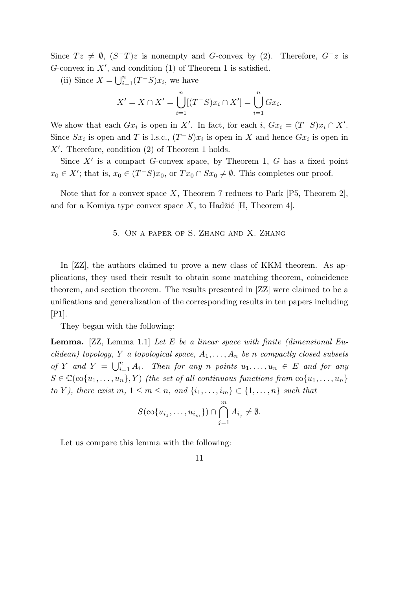Since  $Tz \neq \emptyset$ ,  $(S-T)z$  is nonempty and *G*-convex by (2). Therefore,  $G-z$  is *G*-convex in *X′* , and condition (1) of Theorem 1 is satisfied.

(ii) Since  $X = \bigcup_{i=1}^{n} (T^{-}S)x_i$ , we have

$$
X' = X \cap X' = \bigcup_{i=1}^{n} [(T^{-}S)x_i \cap X'] = \bigcup_{i=1}^{n} Gx_i.
$$

We show that each  $Gx_i$  is open in *X*<sup>*'*</sup>. In fact, for each *i*,  $Gx_i = (T^-S)x_i \cap X'$ . Since  $Sx_i$  is open and *T* is l.s.c.,  $(T^-S)x_i$  is open in *X* and hence  $Gx_i$  is open in *X′* . Therefore, condition (2) of Theorem 1 holds.

Since *X′* is a compact *G*-convex space, by Theorem 1, *G* has a fixed point  $x_0 \in X'$ ; that is,  $x_0 \in (T^-S)x_0$ , or  $Tx_0 \cap Sx_0 \neq \emptyset$ . This completes our proof.

Note that for a convex space *X*, Theorem 7 reduces to Park [P5, Theorem 2], and for a Komiya type convex space  $X$ , to Hadžić [H, Theorem 4].

# 5. On a paper of S. Zhang and X. Zhang

In [ZZ], the authors claimed to prove a new class of KKM theorem. As applications, they used their result to obtain some matching theorem, coincidence theorem, and section theorem. The results presented in [ZZ] were claimed to be a unifications and generalization of the corresponding results in ten papers including [P1].

They began with the following:

**Lemma.** [ZZ, Lemma 1.1] *Let E be a linear space with finite (dimensional Euclidean) topology, Y a topological space, A*1*, . . . , A<sup>n</sup> be n compactly closed subsets of Y* and  $Y = \bigcup_{i=1}^{n} A_i$ . Then for any *n* points  $u_1, \ldots, u_n \in E$  and for any  $S \in \mathbb{C}(\text{co}\{u_1, \ldots, u_n\}, Y)$  *(the set of all continuous functions from*  $\text{co}\{u_1, \ldots, u_n\}$ ) *to Y*), there exist  $m, 1 \leq m \leq n$ , and  $\{i_1, \ldots, i_m\} \subset \{1, \ldots, n\}$  such that

$$
S(\operatorname{co}\{u_{i_1},\ldots,u_{i_m}\})\cap \bigcap_{j=1}^m A_{i_j}\neq \emptyset.
$$

∩*m*

Let us compare this lemma with the following:

11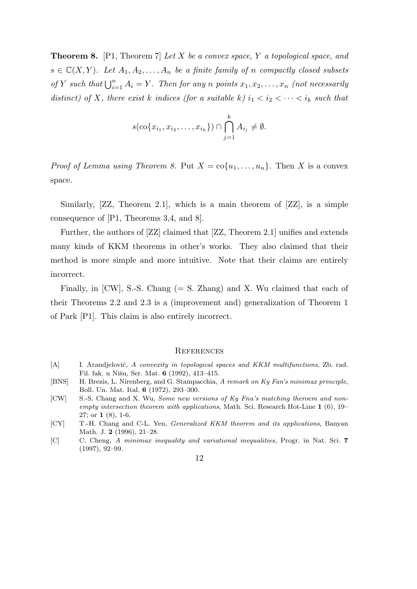**Theorem 8.** [P1, Theorem 7] *Let X be a convex space, Y a topological space, and*  $s \in \mathbb{C}(X, Y)$ *. Let*  $A_1, A_2, \ldots, A_n$  *be a finite family of n compactly closed subsets of Y such that*  $\bigcup_{i=1}^{n} A_i = Y$ *. Then for any n points*  $x_1, x_2, \ldots, x_n$  *(not necessarily distinct)* of *X,* there exist *k indices* (for a suitable *k*)  $i_1 < i_2 < \cdots < i_k$  such that

$$
s(\operatorname{co}\{x_{i_1}, x_{i_2}, \dots, x_{i_k}\}) \cap \bigcap_{j=1}^k A_{i_j} \neq \emptyset.
$$

*Proof of Lemma using Theorem 8.* Put  $X = \text{co}\{u_1, \ldots, u_n\}$ . Then X is a convex space.

Similarly, [ZZ, Theorem 2.1], which is a main theorem of [ZZ], is a simple consequence of [P1, Theorems 3,4, and 8].

Further, the authors of [ZZ] claimed that [ZZ, Theorem 2.1] unifies and extends many kinds of KKM theorems in other's works. They also claimed that their method is more simple and more intuitive. Note that their claims are entirely incorrect.

Finally, in  $\text{[CW]}$ , S.-S. Chang (= S. Zhang) and X. Wu claimed that each of their Theorems 2.2 and 2.3 is a (improvement and) generalization of Theorem 1 of Park [P1]. This claim is also entirely incorrect.

### **REFERENCES**

- [A] I. Arandjelović, *A convexity in topological spaces and KKM multifunctions*, Zb. rad. Fil. fak. u Nišu, Ser. Mat. **6** (1992), 413-415.
- [BNS] H. Brezis, L. Nirenberg, and G. Stampacchia, *A remark on Ky Fan's minimax principle*, Boll. Un. Mat. Ital. **6** (1972), 293–300.
- [CW] S.-S. Chang and X. Wu, *Some new versions of Ky Fna's matching theroem and nonempty intersection theorem with applications*, Math. Sci. Research Hot-Line **1** (6), 19– 27; or **1** (8), 1-6.
- [CY] T.-H. Chang and C-L. Yen, *Generalized KKM theorem and its applications*, Banyan Math. J. **2** (1996), 21–28.
- [C] C. Cheng, *A minimax inequality and variational inequalities*, Progr. in Nat. Sci. **7** (1997), 92–99.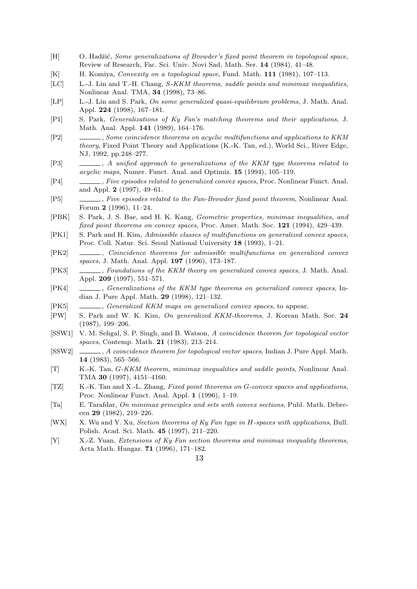- [H] O. Hadžić, *Some generalizations of Browder's fixed point theorem in topological space*, Review of Research, Fac. Sci. Univ. Novi Sad, Math. Ser. **14** (1984), 41–48.
- [K] H. Komiya, *Convexity on a topological space*, Fund. Math. **111** (1981), 107–113.
- [LC] L.-J. Lin and T.-H. Chang, *S-KKM theorems, saddle points and minimax inequalities*, Nonlinear Anal. TMA, **34** (1998), 73–86.
- [LP] L.-J. Lin and S. Park, *On some generalized quasi-equilibrium problems*, J. Math. Anal. Appl. **224** (1998), 167–181.
- [P1] S. Park, *Generalizations of Ky Fan's matching theorems and their applications*, J. Math. Anal. Appl. **141** (1989), 164–176.
- [P2] , *Some coincidence theorems on acyclic multifunctions and applications to KKM theory*, Fixed Point Theory and Applications (K.-K. Tan, ed.), World Sci., River Edge, NJ, 1992, pp.248–277.
- [P3] , *A unified approach to generalizations of the KKM type theorems related to acyclic maps*, Numer. Funct. Anal. and Optimiz. **15** (1994), 105–119.
- [P4] , *Five episodes related to generalized convex spaces*, Proc. Nonlinear Funct. Anal. and Appl. **2** (1997), 49–61.
- [P5] , *Five episodes related to the Fan-Browder fixed point theorem*, Nonlinear Anal. Forum **2** (1996), 11–24.
- [PBK] S. Park, J. S. Bae, and H. K. Kang, *Geometric properties, minimax inequalities, and fixed point theorems on convex spaces*, Proc. Amer. Math. Soc. **121** (1994), 429–439.
- [PK1] S. Park and H. Kim, *Admissible classes of multifunctions on generalized convex spaces*, Proc. Coll. Natur. Sci. Seoul National University **18** (1993), 1–21.
- [PK2] , *Coincidence theorems for admissible multifunctions on generalized convex spaces*, J. Math. Anal. Appl. **197** (1996), 173–187.
- [PK3] , *Foundations of the KKM theory on generalized convex spaces*, J. Math. Anal. Appl. **209** (1997), 551–571.
- [PK4] , *Generalizations of the KKM type theorems on generalized convex spaces*, Indian J. Pure Appl. Math. **29** (1998), 121–132.
- [PK5] , *Generalized KKM maps on generalized convex spaces*, to appear.
- [PW] S. Park and W. K. Kim, *On generalized KKM-theorems*, J. Korean Math. Soc. **24** (1987), 199–206.
- [SSW1] V. M. Sehgal, S. P. Singh, and B. Watson, *A coincidence theorem for topological vector spaces*, Contemp. Math. **21** (1983), 213–214.
- [SSW2] , *A coincidence theorem for topological vector spaces*, Indian J. Pure Appl. Math. **14** (1983), 565–566.
- [T] K.-K. Tan, *G-KKM theorem, minimax inequalities and saddle points*, Nonlinear Anal. TMA **30** (1997), 4151–4160.
- [TZ] K.-K. Tan and X.-L. Zhang, *Fixed point theorems on G-convex spaces and applications*, Proc. Nonlinear Funct. Anal. Appl. **1** (1996), 1–19.
- [Ta] E. Tarafdar, *On minimax principles and sets with convex sections*, Publ. Math. Debrecen **29** (1982), 219–226.
- [WX] X. Wu and Y. Xu, *Section theorems of Ky Fan type in H-spaces with applications*, Bull. Polish. Acad. Sci. Math. **45** (1997), 211–220.
- [Y] X.-Z. Yuan, *Extensions of Ky Fan section theorems and minimax inequality theorems*, Acta Math. Hungar. **71** (1996), 171–182.

13